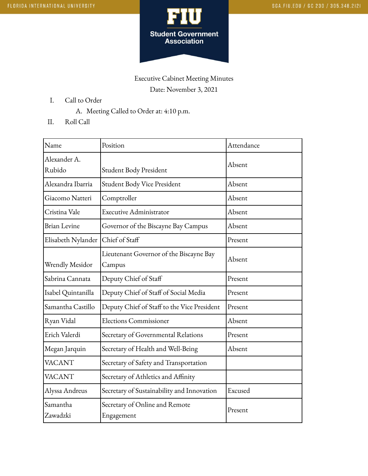

## Executive Cabinet Meeting Minutes Date: November 3, 2021

- I. Call to Order
	- A. Meeting Called to Order at: 4:10 p.m.
- II. Roll Call

| Name                   | Position                                          | Attendance |
|------------------------|---------------------------------------------------|------------|
| Alexander A.<br>Rubido | Student Body President                            | Absent     |
| Alexandra Ibarria      | Student Body Vice President                       | Absent     |
| Giacomo Natteri        | Comptroller                                       | Absent     |
| Cristina Vale          | <b>Executive Administrator</b>                    | Absent     |
| <b>Brian Levine</b>    | Governor of the Biscayne Bay Campus               | Absent     |
| Elisabeth Nylander     | Chief of Staff                                    | Present    |
| Wrendly Mesidor        | Lieutenant Governor of the Biscayne Bay<br>Campus | Absent     |
| Sabrina Cannata        | Deputy Chief of Staff                             | Present    |
| Isabel Quintanilla     | Deputy Chief of Staff of Social Media             | Present    |
| Samantha Castillo      | Deputy Chief of Staff to the Vice President       | Present    |
| Ryan Vidal             | <b>Elections Commissioner</b>                     | Absent     |
| Erich Valerdi          | Secretary of Governmental Relations               | Present    |
| Megan Jarquin          | Secretary of Health and Well-Being                | Absent     |
| <b>VACANT</b>          | Secretary of Safety and Transportation            |            |
| <b>VACANT</b>          | Secretary of Athletics and Affinity               |            |
| Alyssa Andreus         | Secretary of Sustainability and Innovation        | Excused    |
| Samantha<br>Zawadzki   | Secretary of Online and Remote<br>Engagement      | Present    |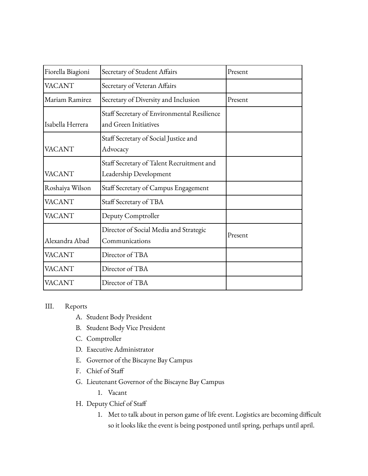| Fiorella Biagioni | Secretary of Student Affairs                                         | Present |
|-------------------|----------------------------------------------------------------------|---------|
| <b>VACANT</b>     | Secretary of Veteran Affairs                                         |         |
| Mariam Ramirez    | Secretary of Diversity and Inclusion                                 | Present |
| Isabella Herrera  | Staff Secretary of Environmental Resilience<br>and Green Initiatives |         |
| <b>VACANT</b>     | Staff Secretary of Social Justice and<br>Advocacy                    |         |
| <b>VACANT</b>     | Staff Secretary of Talent Recruitment and<br>Leadership Development  |         |
| Roshaiya Wilson   | Staff Secretary of Campus Engagement                                 |         |
| <b>VACANT</b>     | Staff Secretary of TBA                                               |         |
| <b>VACANT</b>     | Deputy Comptroller                                                   |         |
| Alexandra Abad    | Director of Social Media and Strategic<br>Communications             | Present |
| <b>VACANT</b>     | Director of TBA                                                      |         |
| <b>VACANT</b>     | Director of TBA                                                      |         |
| <b>VACANT</b>     | Director of TBA                                                      |         |

## III. Reports

- A. Student Body President
- B. Student Body Vice President
- C. Comptroller
- D. Executive Administrator
- E. Governor of the Biscayne Bay Campus
- F. Chief of Staff
- G. Lieutenant Governor of the Biscayne Bay Campus
	- 1. Vacant
- H. Deputy Chief of Staff
	- 1. Met to talk about in person game of life event. Logistics are becoming difficult so it looks like the event is being postponed until spring, perhaps until april.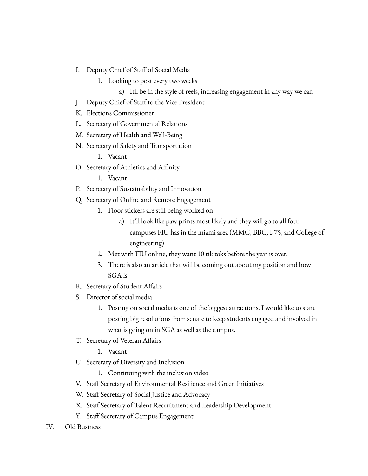- I. Deputy Chief of Staff of Social Media
	- 1. Looking to post every two weeks
		- a) Itll be in the style of reels, increasing engagement in any way we can
- J. Deputy Chief of Staff to the Vice President
- K. Elections Commissioner
- L. Secretary of Governmental Relations
- M. Secretary of Health and Well-Being
- N. Secretary of Safety and Transportation
	- 1. Vacant
- O. Secretary of Athletics and Affinity
	- 1. Vacant
- P. Secretary of Sustainability and Innovation
- Q. Secretary of Online and Remote Engagement
	- 1. Floor stickers are still being worked on
		- a) It'll look like paw prints most likely and they will go to all four campuses FIU has in the miami area (MMC, BBC, I-75, and College of engineering)
	- 2. Met with FIU online, they want 10 tik toks before the year is over.
	- 3. There is also an article that will be coming out about my position and how SGA is
- R. Secretary of Student Affairs
- S. Director of social media
	- 1. Posting on social media is one of the biggest attractions. I would like to start posting big resolutions from senate to keep students engaged and involved in what is going on in SGA as well as the campus.
- T. Secretary of Veteran Affairs
	- 1. Vacant
- U. Secretary of Diversity and Inclusion
	- 1. Continuing with the inclusion video
- V. Staff Secretary of Environmental Resilience and Green Initiatives
- W. Staff Secretary of Social Justice and Advocacy
- X. Staff Secretary of Talent Recruitment and Leadership Development
- Y. Staff Secretary of Campus Engagement
- IV. Old Business